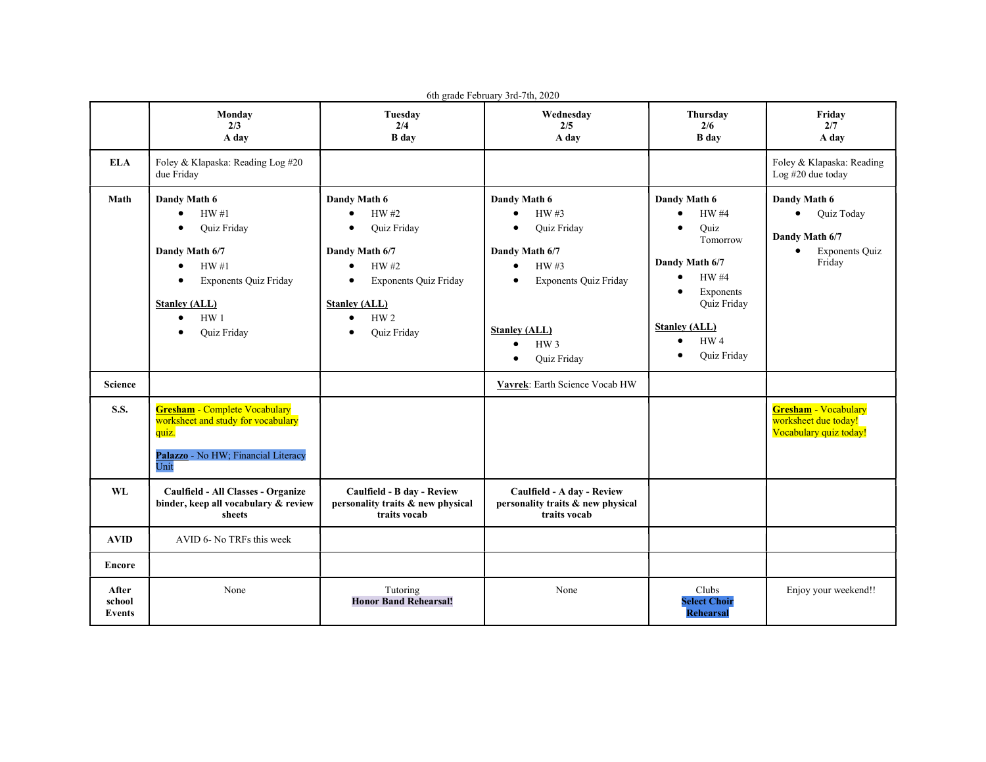| 6th grade February 3rd-7th, 2020 |                                                                                                                                                                                                                                 |                                                                                                                                                                                     |                                                                                                                                                                                                                                        |                                                                                                                                                                                                                           |                                                                                                                  |  |  |  |
|----------------------------------|---------------------------------------------------------------------------------------------------------------------------------------------------------------------------------------------------------------------------------|-------------------------------------------------------------------------------------------------------------------------------------------------------------------------------------|----------------------------------------------------------------------------------------------------------------------------------------------------------------------------------------------------------------------------------------|---------------------------------------------------------------------------------------------------------------------------------------------------------------------------------------------------------------------------|------------------------------------------------------------------------------------------------------------------|--|--|--|
|                                  | Monday<br>2/3<br>A day                                                                                                                                                                                                          | Tuesday<br>2/4<br><b>B</b> day                                                                                                                                                      | Wednesday<br>2/5<br>A day                                                                                                                                                                                                              | Thursday<br>2/6<br><b>B</b> day                                                                                                                                                                                           | Friday<br>2/7<br>A day                                                                                           |  |  |  |
| <b>ELA</b>                       | Foley & Klapaska: Reading Log #20<br>due Friday                                                                                                                                                                                 |                                                                                                                                                                                     |                                                                                                                                                                                                                                        |                                                                                                                                                                                                                           | Foley & Klapaska: Reading<br>Log #20 due today                                                                   |  |  |  |
| Math                             | Dandy Math 6<br>HW#1<br>$\bullet$<br><b>Quiz Friday</b><br>Dandy Math 6/7<br>HW#1<br>$\bullet$<br><b>Exponents Quiz Friday</b><br>$\bullet$<br><b>Stanley (ALL)</b><br>HW <sub>1</sub><br>$\bullet$<br>Quiz Friday<br>$\bullet$ | Dandy Math 6<br>HW #2<br>Quiz Friday<br>Dandy Math 6/7<br>HW #2<br><b>Exponents Quiz Friday</b><br>$\bullet$<br><b>Stanley (ALL)</b><br>HW <sub>2</sub><br>$\bullet$<br>Quiz Friday | Dandy Math 6<br>HW #3<br>$\bullet$<br>Quiz Friday<br>$\bullet$<br>Dandy Math 6/7<br>HW#3<br>$\bullet$<br><b>Exponents Quiz Friday</b><br>$\bullet$<br><b>Stanley (ALL)</b><br>HW <sub>3</sub><br>$\bullet$<br>Quiz Friday<br>$\bullet$ | Dandy Math 6<br><b>HW#4</b><br>Ouiz<br>Tomorrow<br>Dandy Math 6/7<br><b>HW#4</b><br>$\bullet$<br>Exponents<br>$\bullet$<br><b>Ouiz Friday</b><br><b>Stanley (ALL)</b><br>HW <sub>4</sub><br>$\bullet$<br>Quiz Friday<br>٠ | Dandy Math 6<br>$\bullet$<br><b>Ouiz Today</b><br>Dandy Math 6/7<br><b>Exponents Quiz</b><br>$\bullet$<br>Friday |  |  |  |
| Science                          |                                                                                                                                                                                                                                 |                                                                                                                                                                                     | Vavrek: Earth Science Vocab HW                                                                                                                                                                                                         |                                                                                                                                                                                                                           |                                                                                                                  |  |  |  |
| <b>S.S.</b>                      | <b>Gresham - Complete Vocabulary</b><br>worksheet and study for vocabulary<br>quiz.<br>Palazzo - No HW; Financial Literacy<br>Unit                                                                                              |                                                                                                                                                                                     |                                                                                                                                                                                                                                        |                                                                                                                                                                                                                           | <b>Gresham - Vocabulary</b><br>worksheet due today!<br>Vocabulary quiz today!                                    |  |  |  |
| WL                               | Caulfield - All Classes - Organize<br>binder, keep all vocabulary & review<br>sheets                                                                                                                                            | Caulfield - B day - Review<br>personality traits & new physical<br>traits vocab                                                                                                     | Caulfield - A day - Review<br>personality traits & new physical<br>traits vocab                                                                                                                                                        |                                                                                                                                                                                                                           |                                                                                                                  |  |  |  |
| <b>AVID</b>                      | AVID 6- No TRFs this week                                                                                                                                                                                                       |                                                                                                                                                                                     |                                                                                                                                                                                                                                        |                                                                                                                                                                                                                           |                                                                                                                  |  |  |  |
| Encore                           |                                                                                                                                                                                                                                 |                                                                                                                                                                                     |                                                                                                                                                                                                                                        |                                                                                                                                                                                                                           |                                                                                                                  |  |  |  |
| After<br>school<br>Events        | None                                                                                                                                                                                                                            | Tutoring<br><b>Honor Band Rehearsal!</b>                                                                                                                                            | None                                                                                                                                                                                                                                   | Clubs<br><b>Select Choir</b><br><b>Rehearsal</b>                                                                                                                                                                          | Enjoy your weekend!!                                                                                             |  |  |  |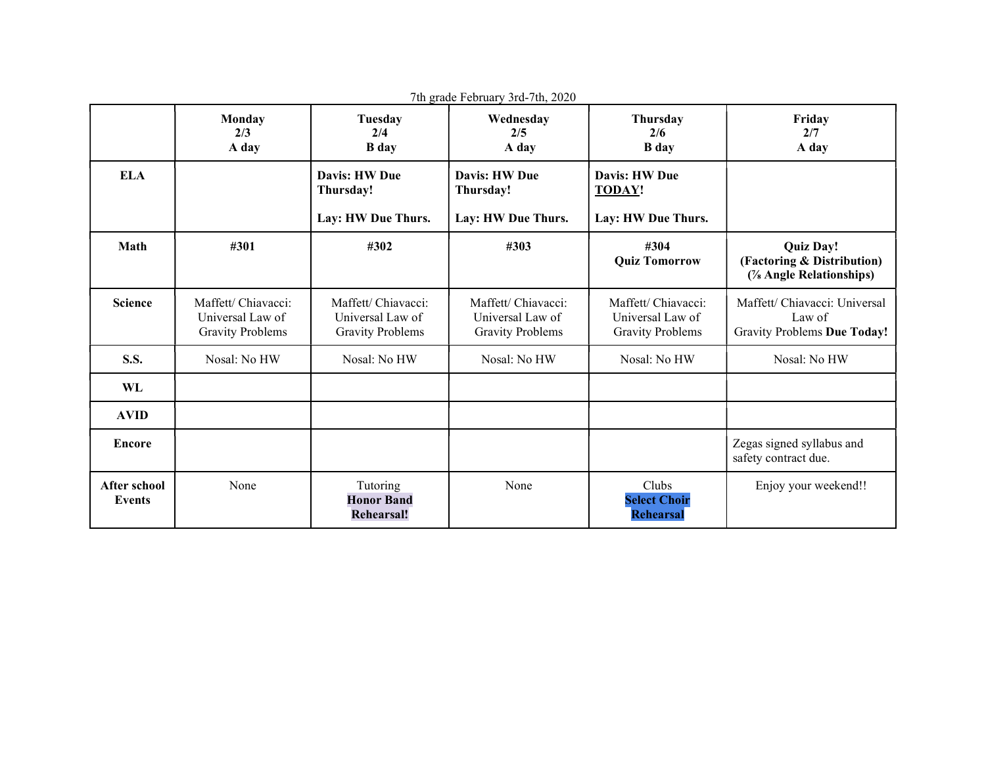| 7th grade February 3rd-7th, 2020     |                                                                    |                                                                    |                                                                    |                                                                    |                                                                           |  |  |
|--------------------------------------|--------------------------------------------------------------------|--------------------------------------------------------------------|--------------------------------------------------------------------|--------------------------------------------------------------------|---------------------------------------------------------------------------|--|--|
|                                      | Monday<br>2/3<br>A day                                             | <b>Tuesday</b><br>2/4<br><b>B</b> day                              | Wednesday<br>2/5<br>A day                                          | Thursday<br>2/6<br><b>B</b> day                                    | Friday<br>2/7<br>A day                                                    |  |  |
| <b>ELA</b>                           |                                                                    | Davis: HW Due<br>Thursday!<br>Lay: HW Due Thurs.                   | Davis: HW Due<br>Thursday!<br>Lay: HW Due Thurs.                   | <b>Davis: HW Due</b><br><b>TODAY!</b><br>Lay: HW Due Thurs.        |                                                                           |  |  |
| Math                                 | #301                                                               | #302                                                               | #303                                                               | #304<br><b>Quiz Tomorrow</b>                                       | <b>Quiz Day!</b><br>(Factoring & Distribution)<br>(% Angle Relationships) |  |  |
| <b>Science</b>                       | Maffett/ Chiavacci:<br>Universal Law of<br><b>Gravity Problems</b> | Maffett/ Chiavacci:<br>Universal Law of<br><b>Gravity Problems</b> | Maffett/ Chiavacci:<br>Universal Law of<br><b>Gravity Problems</b> | Maffett/ Chiavacci:<br>Universal Law of<br><b>Gravity Problems</b> | Maffett/ Chiavacci: Universal<br>Law of<br>Gravity Problems Due Today!    |  |  |
| <b>S.S.</b>                          | Nosal: No HW                                                       | Nosal: No HW                                                       | Nosal: No HW                                                       | Nosal: No HW                                                       | Nosal: No HW                                                              |  |  |
| WL                                   |                                                                    |                                                                    |                                                                    |                                                                    |                                                                           |  |  |
| <b>AVID</b>                          |                                                                    |                                                                    |                                                                    |                                                                    |                                                                           |  |  |
| <b>Encore</b>                        |                                                                    |                                                                    |                                                                    |                                                                    | Zegas signed syllabus and<br>safety contract due.                         |  |  |
| <b>After school</b><br><b>Events</b> | None                                                               | Tutoring<br><b>Honor Band</b><br><b>Rehearsal!</b>                 | None                                                               | Clubs<br><b>Select Choir</b><br><b>Rehearsal</b>                   | Enjoy your weekend!!                                                      |  |  |